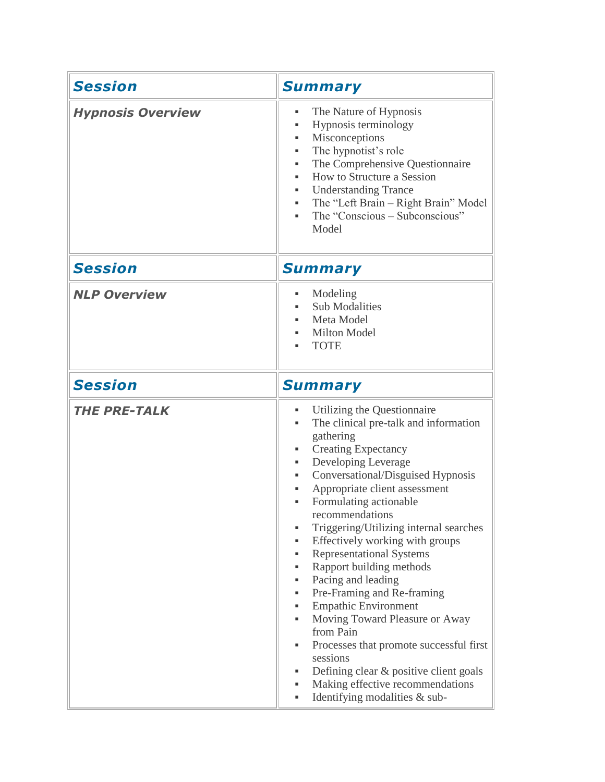| <b>Session</b>           | <b>Summary</b>                                                                                                                                                                                                                                                                                                                                                                                                                                                                                                                                                                                                                                                                                                                                                                                               |
|--------------------------|--------------------------------------------------------------------------------------------------------------------------------------------------------------------------------------------------------------------------------------------------------------------------------------------------------------------------------------------------------------------------------------------------------------------------------------------------------------------------------------------------------------------------------------------------------------------------------------------------------------------------------------------------------------------------------------------------------------------------------------------------------------------------------------------------------------|
| <b>Hypnosis Overview</b> | The Nature of Hypnosis<br>٠<br>Hypnosis terminology<br>٠<br>Misconceptions<br>The hypnotist's role<br>٠<br>The Comprehensive Questionnaire<br>How to Structure a Session<br>٠<br><b>Understanding Trance</b><br>٠<br>The "Left Brain - Right Brain" Model<br>٠<br>The "Conscious - Subconscious"<br>٠<br>Model                                                                                                                                                                                                                                                                                                                                                                                                                                                                                               |
| <b>Session</b>           | <b>Summary</b>                                                                                                                                                                                                                                                                                                                                                                                                                                                                                                                                                                                                                                                                                                                                                                                               |
| <b>NLP Overview</b>      | Modeling<br>٠<br><b>Sub Modalities</b><br>Meta Model<br><b>Milton Model</b><br><b>TOTE</b>                                                                                                                                                                                                                                                                                                                                                                                                                                                                                                                                                                                                                                                                                                                   |
| <b>Session</b>           | <b>Summary</b>                                                                                                                                                                                                                                                                                                                                                                                                                                                                                                                                                                                                                                                                                                                                                                                               |
| <b>THE PRE-TALK</b>      | Utilizing the Questionnaire<br>٠<br>The clinical pre-talk and information<br>٠<br>gathering<br><b>Creating Expectancy</b><br>٠<br>Developing Leverage<br>٠<br>Conversational/Disguised Hypnosis<br>٠<br>Appropriate client assessment<br>٠<br>Formulating actionable<br>٠<br>recommendations<br>Triggering/Utilizing internal searches<br>٠<br>Effectively working with groups<br>٠<br><b>Representational Systems</b><br>٠<br>Rapport building methods<br>٠<br>Pacing and leading<br>٠<br>Pre-Framing and Re-framing<br>٠<br><b>Empathic Environment</b><br>٠<br>Moving Toward Pleasure or Away<br>٠<br>from Pain<br>Processes that promote successful first<br>٠<br>sessions<br>Defining clear & positive client goals<br>٠<br>Making effective recommendations<br>٠<br>Identifying modalities & sub-<br>٠ |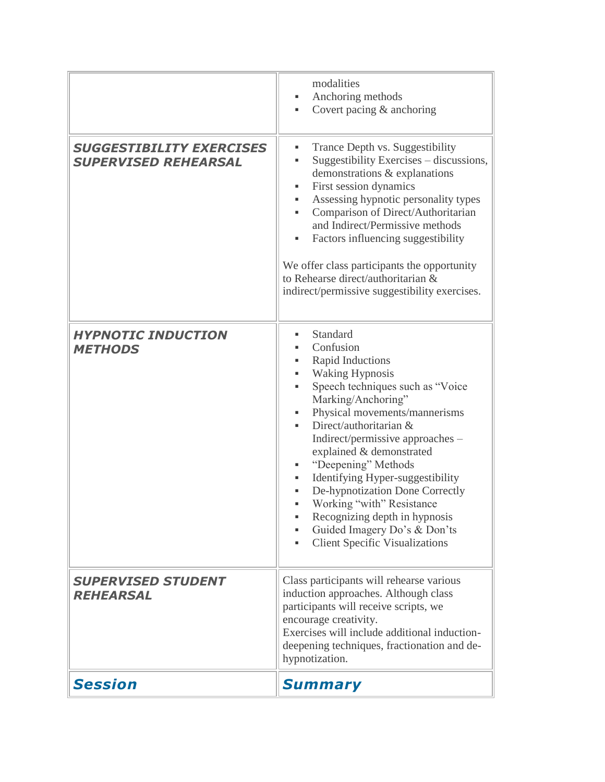|                                                                | modalities<br>Anchoring methods<br>٠<br>Covert pacing & anchoring<br>٠                                                                                                                                                                                                                                                                                                                                                                                                                                                  |
|----------------------------------------------------------------|-------------------------------------------------------------------------------------------------------------------------------------------------------------------------------------------------------------------------------------------------------------------------------------------------------------------------------------------------------------------------------------------------------------------------------------------------------------------------------------------------------------------------|
| <b>SUGGESTIBILITY EXERCISES</b><br><b>SUPERVISED REHEARSAL</b> | Trance Depth vs. Suggestibility<br>٠<br>Suggestibility Exercises – discussions,<br>٠<br>demonstrations & explanations<br>First session dynamics<br>٠<br>Assessing hypnotic personality types<br>٠<br>Comparison of Direct/Authoritarian<br>٠<br>and Indirect/Permissive methods<br>Factors influencing suggestibility<br>٠<br>We offer class participants the opportunity<br>to Rehearse direct/authoritarian &<br>indirect/permissive suggestibility exercises.                                                        |
| <b>HYPNOTIC INDUCTION</b><br><b>METHODS</b>                    | Standard<br>٠<br>Confusion<br>Rapid Inductions<br><b>Waking Hypnosis</b><br>Speech techniques such as "Voice"<br>ш<br>Marking/Anchoring"<br>Physical movements/mannerisms<br>Direct/authoritarian &<br>Indirect/permissive approaches -<br>explained & demonstrated<br>"Deepening" Methods<br>Identifying Hyper-suggestibility<br>٠<br>De-hypnotization Done Correctly<br>Working "with" Resistance<br>ш<br>Recognizing depth in hypnosis<br>Guided Imagery Do's & Don'ts<br><b>Client Specific Visualizations</b><br>٠ |
| <b>SUPERVISED STUDENT</b><br><b>REHEARSAL</b>                  | Class participants will rehearse various<br>induction approaches. Although class<br>participants will receive scripts, we<br>encourage creativity.<br>Exercises will include additional induction-<br>deepening techniques, fractionation and de-<br>hypnotization.                                                                                                                                                                                                                                                     |
| <b>Session</b>                                                 | <b>Summary</b>                                                                                                                                                                                                                                                                                                                                                                                                                                                                                                          |